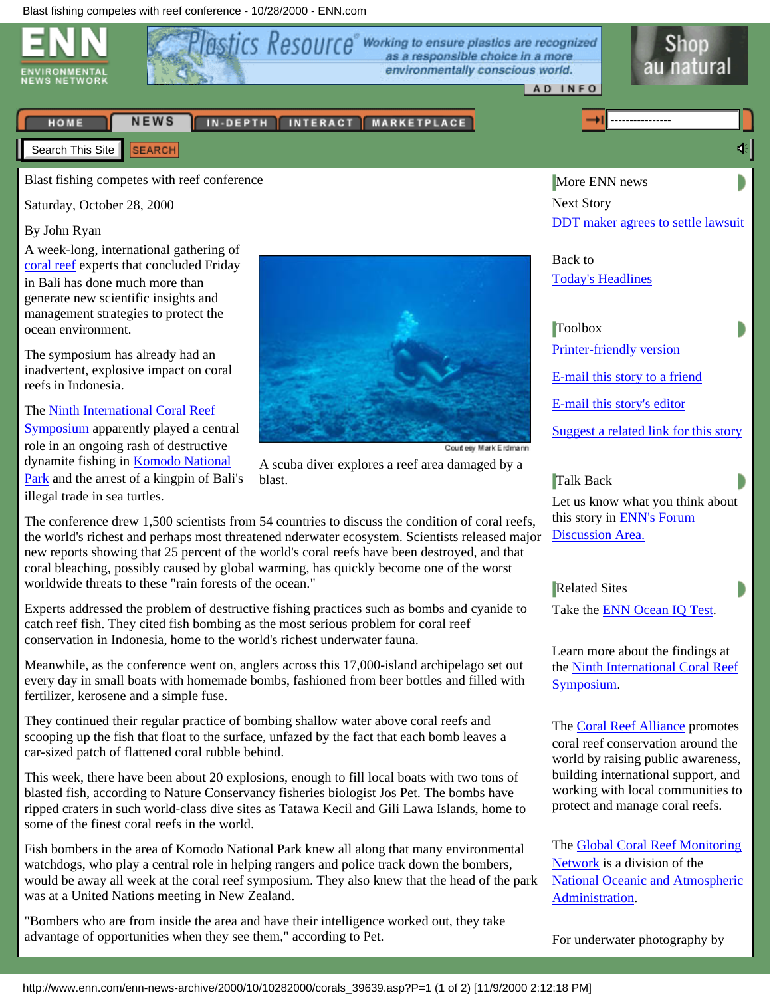<span id="page-0-0"></span>

| HOME                    |  | NEWS   IN-DEPTH   INTERACT   MARKETPLACE |
|-------------------------|--|------------------------------------------|
| Search This Site SEARCH |  |                                          |

Blast fishing competes with reef conference

Saturday, October 28, 2000

#### By John Ryan

A week-long, international gathering of [coral reef](http://www.enn.com/indepth/coral/index.asp) experts that concluded Friday in Bali has done much more than generate new scientific insights and management strategies to protect the ocean environment.

The symposium has already had an inadvertent, explosive impact on coral reefs in Indonesia.

The [Ninth International Coral Reef](http://www.nova.edu/ocean/9icrs/) [Symposium](http://www.nova.edu/ocean/9icrs/) apparently played a central role in an ongoing rash of destructive dynamite fishing in [Komodo National](http://www.komodo-national-park.com/) [Park](http://www.komodo-national-park.com/) and the arrest of a kingpin of Bali's illegal trade in sea turtles.



A scuba diver explores a reef area damaged by a blast.

The conference drew 1,500 scientists from 54 countries to discuss the condition of coral reefs, the world's richest and perhaps most threatened nderwater ecosystem. Scientists released major new reports showing that 25 percent of the world's coral reefs have been destroyed, and that coral bleaching, possibly caused by global warming, has quickly become one of the worst worldwide threats to these "rain forests of the ocean."

Experts addressed the problem of destructive fishing practices such as bombs and cyanide to catch reef fish. They cited fish bombing as the most serious problem for coral reef conservation in Indonesia, home to the world's richest underwater fauna.

Meanwhile, as the conference went on, anglers across this 17,000-island archipelago set out every day in small boats with homemade bombs, fashioned from beer bottles and filled with fertilizer, kerosene and a simple fuse.

They continued their regular practice of bombing shallow water above coral reefs and scooping up the fish that float to the surface, unfazed by the fact that each bomb leaves a car-sized patch of flattened coral rubble behind.

This week, there have been about 20 explosions, enough to fill local boats with two tons of blasted fish, according to Nature Conservancy fisheries biologist Jos Pet. The bombs have ripped craters in such world-class dive sites as Tatawa Kecil and Gili Lawa Islands, home to some of the finest coral reefs in the world.

Fish bombers in the area of Komodo National Park knew all along that many environmental watchdogs, who play a central role in helping rangers and police track down the bombers, would be away all week at the coral reef symposium. They also knew that the head of the park was at a United Nations meeting in New Zealand.

"Bombers who are from inside the area and have their intelligence worked out, they take advantage of opportunities when they see them," according to Pet.

More ENN news Next Story [DDT maker agrees to settle lawsuit](http://www.enn.com/news/wire-stories/2000/10/10282000/ap_ddt_39651.asp)

41

Back to [Today's Headlines](http://www.enn.com/news/index.asp)

# **Toolbox**

[Printer-friendly version](javascript:popup2() [E-mail this story to a friend](javascript:popup2() [E-mail this story's editor](javascript:popup2()

[Suggest a related link for this story](javascript:popup2()

Talk Back

Let us know what you think about this story in **ENN's Forum** [Discussion Area.](http://www.enn.com/community/forum/post-message.asp?F=1&S=Blast%20fishing%20competes%20with%20reef%20conference%20)

Related Sites

Take the [ENN Ocean IQ Test.](http://www.enn.com/features/1999/11/112499/waterquiz_7435.asp)

Learn more about the findings at the [Ninth International Coral Reef](http://www.nova.edu/ocean/9icrs/) [Symposium](http://www.nova.edu/ocean/9icrs/).

The [Coral Reef Alliance](http://www.coral.org/) promotes coral reef conservation around the world by raising public awareness, building international support, and working with local communities to protect and manage coral reefs.

The [Global Coral Reef Monitoring](http://coral.aoml.noaa.gov/gcrmn/) [Network](http://coral.aoml.noaa.gov/gcrmn/) is a division of the [National Oceanic and Atmospheric](http://www.noaa.gov/) [Administration.](http://www.noaa.gov/)

For underwater photography by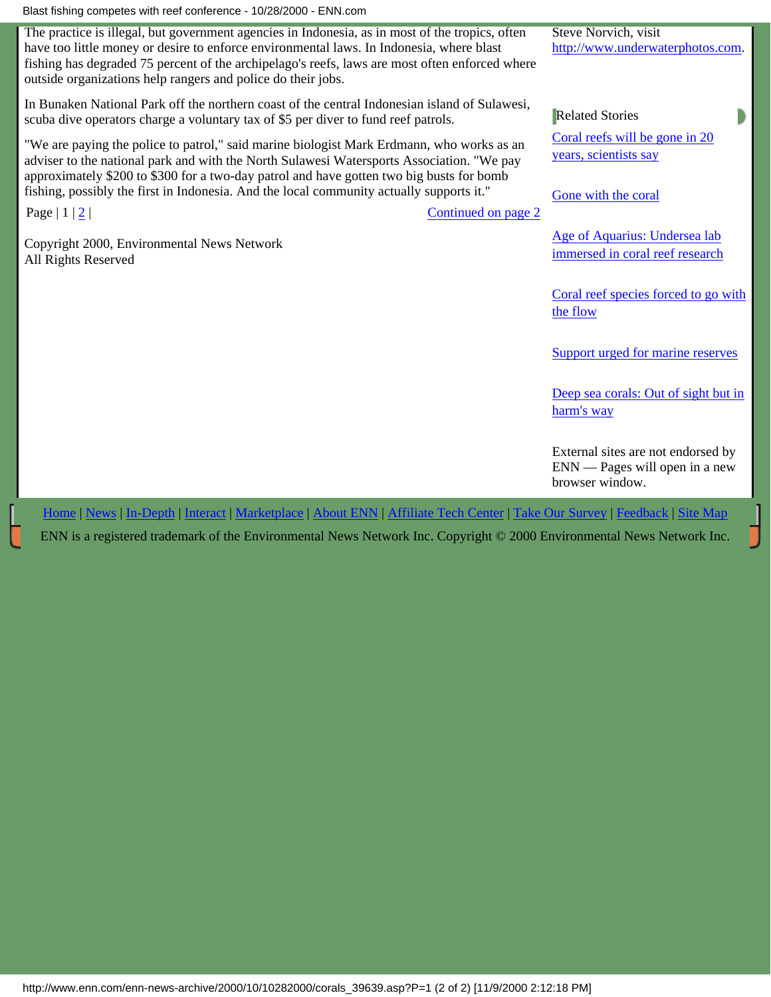Blast fishing competes with reef conference - 10/28/2000 - ENN.com

The practice is illegal, but government agencies in Indonesia, as in most of the tropics, often have too little money or desire to enforce environmental laws. In Indonesia, where blast fishing has degraded 75 percent of the archipelago's reefs, laws are most often enforced where outside organizations help rangers and police do their jobs.

In Bunaken National Park off the northern coast of the central Indonesian island of Sulawesi, scuba dive operators charge a voluntary tax of \$5 per diver to fund reef patrols.

"We are paying the police to patrol," said marine biologist Mark Erdmann, who works as an adviser to the national park and with the North Sulawesi Watersports Association. "We pay approximately \$200 to \$300 for a two-day patrol and have gotten two big busts for bomb fishing, possibly the first in Indonesia. And the local community actually supports it."

Page | 1 | [2](#page-2-0) | [Continued on page 2](#page-2-0)

Copyright 2000, Environmental News Network All Rights Reserved

[Age of Aquarius: Undersea lab](http://www.enn.com/enn-news-archive/2000/07/07242000/aquarius_14967.asp) [immersed in coral reef research](http://www.enn.com/enn-news-archive/2000/07/07242000/aquarius_14967.asp)

[Coral reefs will be gone in 20](http://www.enn.com/enn-subsciber-news-archive/2000/10/10232000/ap_coral_39494.asp)

Steve Norvich, visit

Related Stories

[years, scientists say](http://www.enn.com/enn-subsciber-news-archive/2000/10/10232000/ap_coral_39494.asp)

[Gone with the coral](http://www.enn.com/enn-features-archive/1998/09/090298/0902fea_23312.asp)

[http://www.underwaterphotos.com](http://www.underwaterphotos.com/).

[Coral reef species forced to go with](http://www.enn.com/enn-news-archive/2000/08/08182000/coralarva_30599.asp) [the flow](http://www.enn.com/enn-news-archive/2000/08/08182000/coralarva_30599.asp)

[Support urged for marine reserves](http://www.enn.com/enn-news-archive/1999/08/082599/mreserves_5239.asp)

[Deep sea corals: Out of sight but in](http://www.enn.com/enn-news-archive/2000/08/08102000/s_30378.asp) [harm's way](http://www.enn.com/enn-news-archive/2000/08/08102000/s_30378.asp)

External sites are not endorsed by ENN — Pages will open in a new browser window.

[Home](http://www.enn.com/index.asp) | [News](http://www.enn.com/news/index.asp) | [In-Depth](http://www.enn.com/indepth/index.asp) | [Interact](http://www.enn.com/interact/index.asp) | [Marketplace](http://www.enn.com/marketplace/index.asp) | [About ENN](http://www.enn.com/aboutenn/) | [Affiliate Tech Center](http://www.enn.com/aboutenn/products.asp) | [Take Our Survey](http://www.enn.com/aboutenn/survey.asp) | [Feedback](http://www.enn.com/aboutenn/feedback.asp) | [Site Map](http://www.enn.com/aboutenn/sitemap.asp)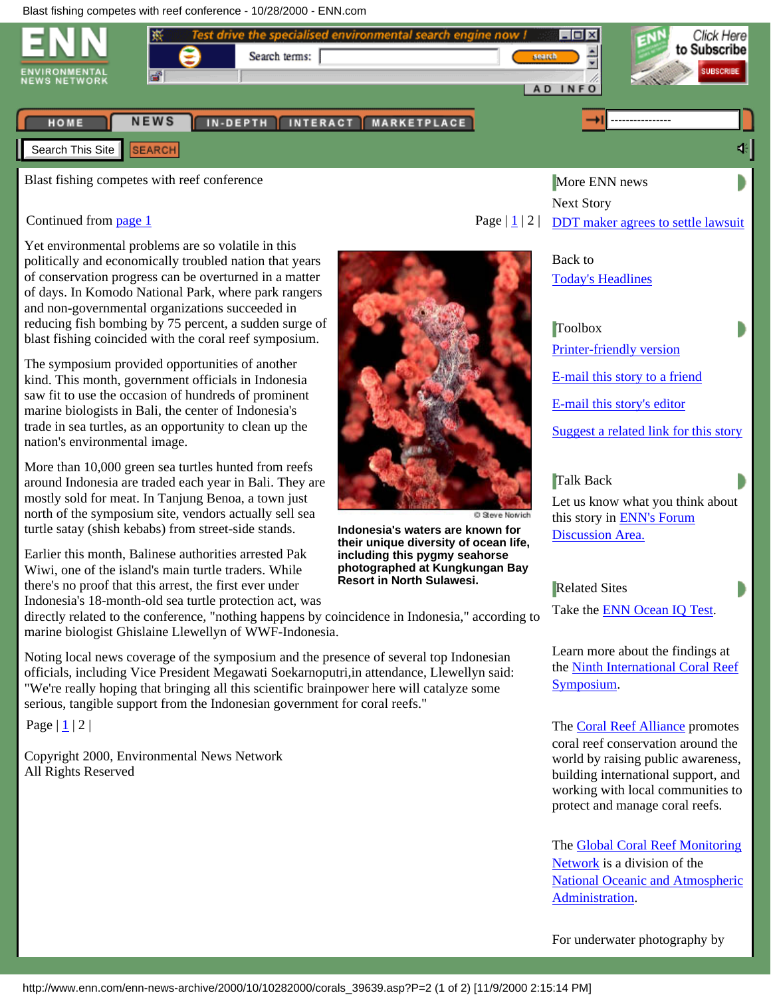<span id="page-2-0"></span>

Blast fishing competes with reef conference

#### Continued from [page 1](#page-0-0)

Yet environmental problems are so volatile in this politically and economically troubled nation that years of conservation progress can be overturned in a matter of days. In Komodo National Park, where park rangers and non-governmental organizations succeeded in reducing fish bombing by 75 percent, a sudden surge of blast fishing coincided with the coral reef symposium.

The symposium provided opportunities of another kind. This month, government officials in Indonesia saw fit to use the occasion of hundreds of prominent marine biologists in Bali, the center of Indonesia's trade in sea turtles, as an opportunity to clean up the nation's environmental image.

More than 10,000 green sea turtles hunted from reefs around Indonesia are traded each year in Bali. They are mostly sold for meat. In Tanjung Benoa, a town just north of the symposium site, vendors actually sell sea turtle satay (shish kebabs) from street-side stands.

Earlier this month, Balinese authorities arrested Pak Wiwi, one of the island's main turtle traders. While there's no proof that this arrest, the first ever under Indonesia's 18-month-old sea turtle protection act, was

directly related to the conference, "nothing happens by coincidence in Indonesia," according to marine biologist Ghislaine Llewellyn of WWF-Indonesia.

Noting local news coverage of the symposium and the presence of several top Indonesian officials, including Vice President Megawati Soekarnoputri,in attendance, Llewellyn said: "We're really hoping that bringing all this scientific brainpower here will catalyze some serious, tangible support from the Indonesian government for coral reefs."

Page  $|1/2|$ 

Copyright 2000, Environmental News Network All Rights Reserved



**Indonesia's waters are known for their unique diversity of ocean life, including this pygmy seahorse photographed at Kungkungan Bay Resort in North Sulawesi.**

More ENN news Next Story Page  $|\mathbf{1}|2|$  [DDT maker agrees to settle lawsuit](http://www.enn.com/news/wire-stories/2000/10/10282000/ap_ddt_39651.asp)

> Back to [Today's Headlines](http://www.enn.com/news/index.asp)

**Toolbox** [Printer-friendly version](javascript:popup2() [E-mail this story to a friend](javascript:popup2() [E-mail this story's editor](javascript:popup2() [Suggest a related link for this story](javascript:popup2()

Talk Back

Let us know what you think about this story in **ENN's Forum** [Discussion Area.](http://www.enn.com/community/forum/post-message.asp?F=1&S=Blast%20fishing%20competes%20with%20reef%20conference%20)

Related Sites

Take the [ENN Ocean IQ Test.](http://www.enn.com/features/1999/11/112499/waterquiz_7435.asp)

Learn more about the findings at the [Ninth International Coral Reef](http://www.nova.edu/ocean/9icrs/) [Symposium](http://www.nova.edu/ocean/9icrs/).

The [Coral Reef Alliance](http://www.coral.org/) promotes coral reef conservation around the world by raising public awareness, building international support, and working with local communities to protect and manage coral reefs.

The [Global Coral Reef Monitoring](http://coral.aoml.noaa.gov/gcrmn/) [Network](http://coral.aoml.noaa.gov/gcrmn/) is a division of the [National Oceanic and Atmospheric](http://www.noaa.gov/) [Administration.](http://www.noaa.gov/)

For underwater photography by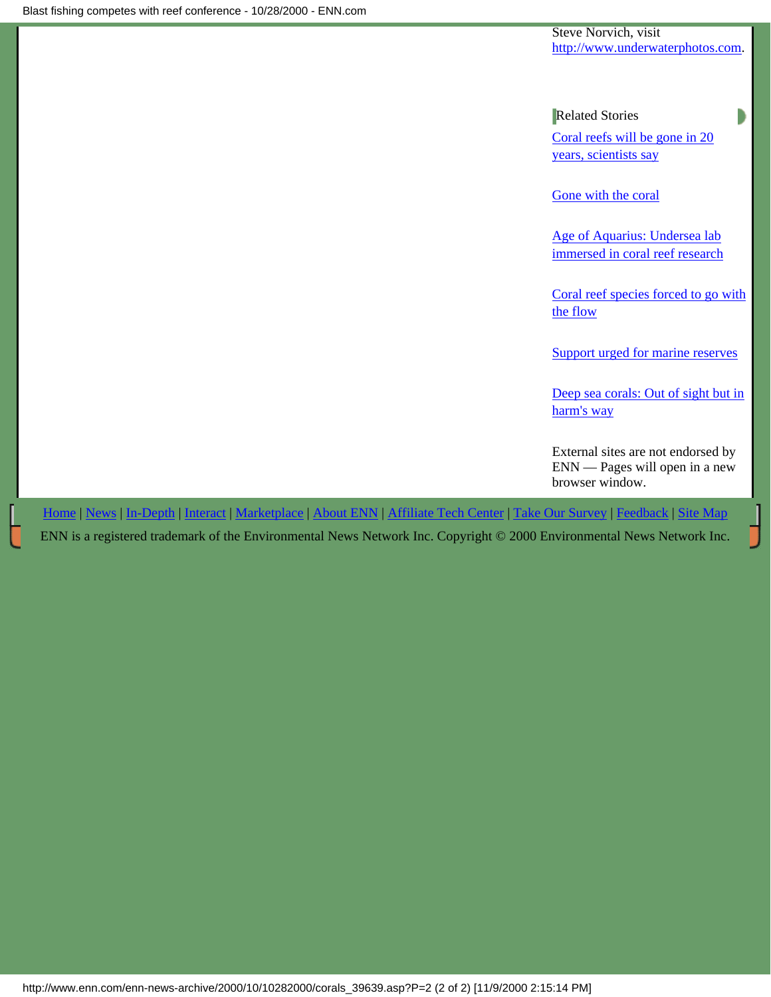Steve Norvich, visit [http://www.underwaterphotos.com](http://www.underwaterphotos.com/).

Related Stories

[Coral reefs will be gone in 20](http://www.enn.com/enn-subsciber-news-archive/2000/10/10232000/ap_coral_39494.asp) [years, scientists say](http://www.enn.com/enn-subsciber-news-archive/2000/10/10232000/ap_coral_39494.asp)

[Gone with the coral](http://www.enn.com/enn-features-archive/1998/09/090298/0902fea_23312.asp)

[Age of Aquarius: Undersea lab](http://www.enn.com/enn-news-archive/2000/07/07242000/aquarius_14967.asp) [immersed in coral reef research](http://www.enn.com/enn-news-archive/2000/07/07242000/aquarius_14967.asp)

[Coral reef species forced to go with](http://www.enn.com/enn-news-archive/2000/08/08182000/coralarva_30599.asp) [the flow](http://www.enn.com/enn-news-archive/2000/08/08182000/coralarva_30599.asp)

[Support urged for marine reserves](http://www.enn.com/enn-news-archive/1999/08/082599/mreserves_5239.asp)

[Deep sea corals: Out of sight but in](http://www.enn.com/enn-news-archive/2000/08/08102000/s_30378.asp) [harm's way](http://www.enn.com/enn-news-archive/2000/08/08102000/s_30378.asp)

External sites are not endorsed by ENN — Pages will open in a new browser window.

[Home](http://www.enn.com/index.asp) | [News](http://www.enn.com/news/index.asp) | [In-Depth](http://www.enn.com/indepth/index.asp) | [Interact](http://www.enn.com/interact/index.asp) | [Marketplace](http://www.enn.com/marketplace/index.asp) | [About ENN](http://www.enn.com/aboutenn/) | [Affiliate Tech Center](http://www.enn.com/aboutenn/products.asp) | [Take Our Survey](http://www.enn.com/aboutenn/survey.asp) | [Feedback](http://www.enn.com/aboutenn/feedback.asp) | [Site Map](http://www.enn.com/aboutenn/sitemap.asp)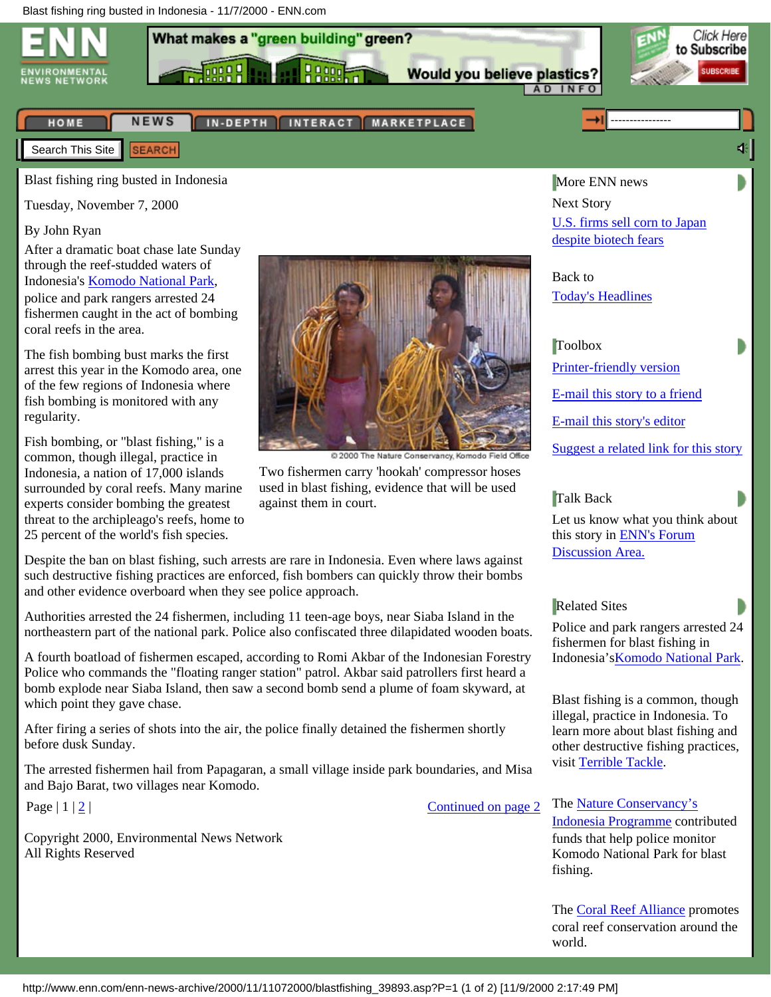<span id="page-4-0"></span>

Blast fishing ring busted in Indonesia

Tuesday, November 7, 2000

#### By John Ryan

After a dramatic boat chase late Sunday through the reef-studded waters of Indonesia's [Komodo National Park](http://www.komodo-national-park.com/index.html), police and park rangers arrested 24 fishermen caught in the act of bombing coral reefs in the area.

The fish bombing bust marks the first arrest this year in the Komodo area, one of the few regions of Indonesia where fish bombing is monitored with any regularity.

Fish bombing, or "blast fishing," is a common, though illegal, practice in Indonesia, a nation of 17,000 islands surrounded by coral reefs. Many marine experts consider bombing the greatest threat to the archipleago's reefs, home to 25 percent of the world's fish species.



Two fishermen carry 'hookah' compressor hoses used in blast fishing, evidence that will be used against them in court.

Despite the ban on blast fishing, such arrests are rare in Indonesia. Even where laws against such destructive fishing practices are enforced, fish bombers can quickly throw their bombs and other evidence overboard when they see police approach.

Authorities arrested the 24 fishermen, including 11 teen-age boys, near Siaba Island in the northeastern part of the national park. Police also confiscated three dilapidated wooden boats.

A fourth boatload of fishermen escaped, according to Romi Akbar of the Indonesian Forestry Police who commands the "floating ranger station" patrol. Akbar said patrollers first heard a bomb explode near Siaba Island, then saw a second bomb send a plume of foam skyward, at which point they gave chase.

After firing a series of shots into the air, the police finally detained the fishermen shortly before dusk Sunday.

The arrested fishermen hail from Papagaran, a small village inside park boundaries, and Misa and Bajo Barat, two villages near Komodo.

Copyright 2000, Environmental News Network All Rights Reserved

[despite biotech fears](http://www.enn.com/news/wire-stories/2000/11/11072000/reu_biocorn_39946.asp) Back to

[U.S. firms sell corn to Japan](http://www.enn.com/news/wire-stories/2000/11/11072000/reu_biocorn_39946.asp)

[Today's Headlines](http://www.enn.com/news/index.asp)

More ENN news

Next Story

#### Toolbox

[Printer-friendly version](javascript:popup2() [E-mail this story to a friend](javascript:popup2() [E-mail this story's editor](javascript:popup2() [Suggest a related link for this story](javascript:popup2()

#### Talk Back

Let us know what you think about this story in [ENN's Forum](http://www.enn.com/community/forum/post-message.asp?F=1&S=Blast%20fishing%20ring%20busted%20in%20Indonesia) [Discussion Area.](http://www.enn.com/community/forum/post-message.asp?F=1&S=Blast%20fishing%20ring%20busted%20in%20Indonesia)

#### Related Sites

Police and park rangers arrested 24 fishermen for blast fishing in Indonesia'[sKomodo National Park](http://www.komodo-national-park.com/index.html).

Blast fishing is a common, though illegal, practice in Indonesia. To learn more about blast fishing and other destructive fishing practices, visit [Terrible Tackle.](http://seawifs.gsfc.nasa.gov/OCEAN_PLANET/HTML/peril_bombs.html)

Page | 1 | [2](#page-6-0) | [Continued on page 2](#page-6-0)

The [Nature Conservancy's](http://www.tnc.org/infield/intprograms/asiapacific/indonesia.html) [Indonesia Programme](http://www.tnc.org/infield/intprograms/asiapacific/indonesia.html) contributed funds that help police monitor Komodo National Park for blast fishing.

The [Coral Reef Alliance](http://www.coral.org/) promotes coral reef conservation around the world.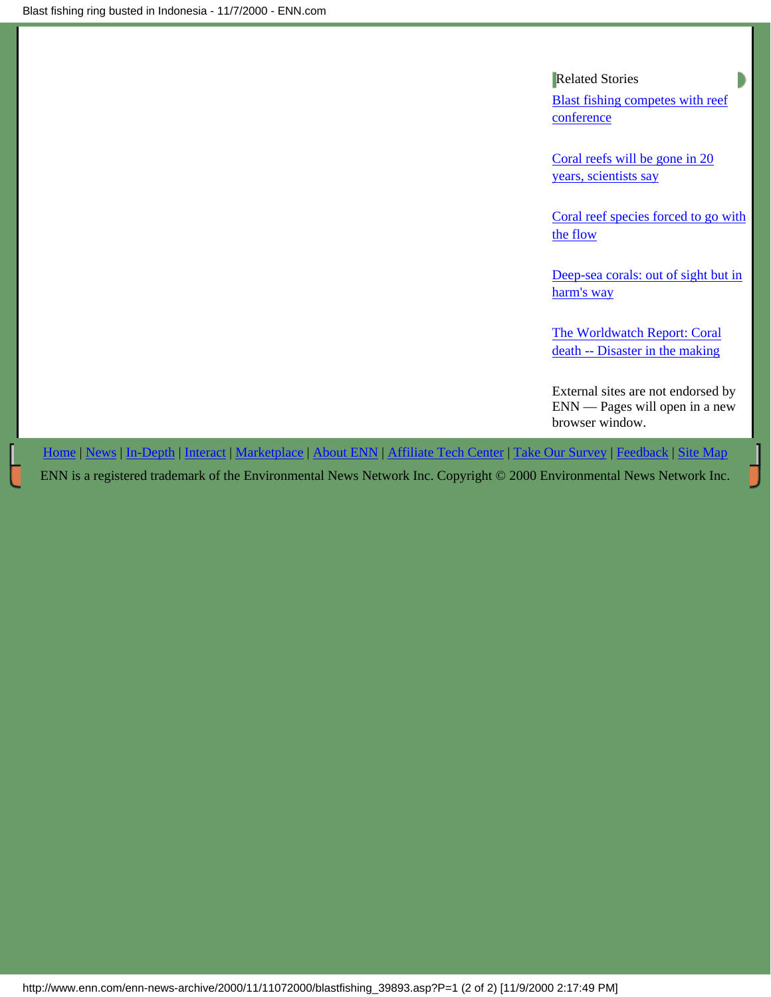# Related Stories

[Blast fishing competes with reef](#page-2-0) [conference](#page-2-0)

[Coral reefs will be gone in 20](http://www.enn.com/enn-subsciber-news-archive/2000/10/10232000/ap_coral_39494.asp) [years, scientists say](http://www.enn.com/enn-subsciber-news-archive/2000/10/10232000/ap_coral_39494.asp)

[Coral reef species forced to go with](http://www.enn.com/enn-news-archive/2000/08/08182000/coralarva_30599.asp) [the flow](http://www.enn.com/enn-news-archive/2000/08/08182000/coralarva_30599.asp)

[Deep-sea corals: out of sight but in](http://www.enn.com/enn-news-archive/2000/08/08102000/s_30378.asp) [harm's way](http://www.enn.com/enn-news-archive/2000/08/08102000/s_30378.asp)

[The Worldwatch Report: Coral](http://www.enn.com/enn-features-archive/1999/04/042699/reefs_2845.asp) [death -- Disaster in the making](http://www.enn.com/enn-features-archive/1999/04/042699/reefs_2845.asp)

External sites are not endorsed by ENN — Pages will open in a new browser window.

[Home](http://www.enn.com/index.asp) | [News](http://www.enn.com/news/index.asp) | [In-Depth](http://www.enn.com/indepth/index.asp) | [Interact](http://www.enn.com/interact/index.asp) | [Marketplace](http://www.enn.com/marketplace/index.asp) | [About ENN](http://www.enn.com/aboutenn/) | [Affiliate Tech Center](http://www.enn.com/aboutenn/products.asp) | [Take Our Survey](http://www.enn.com/aboutenn/survey.asp) | [Feedback](http://www.enn.com/aboutenn/feedback.asp) | [Site Map](http://www.enn.com/aboutenn/sitemap.asp)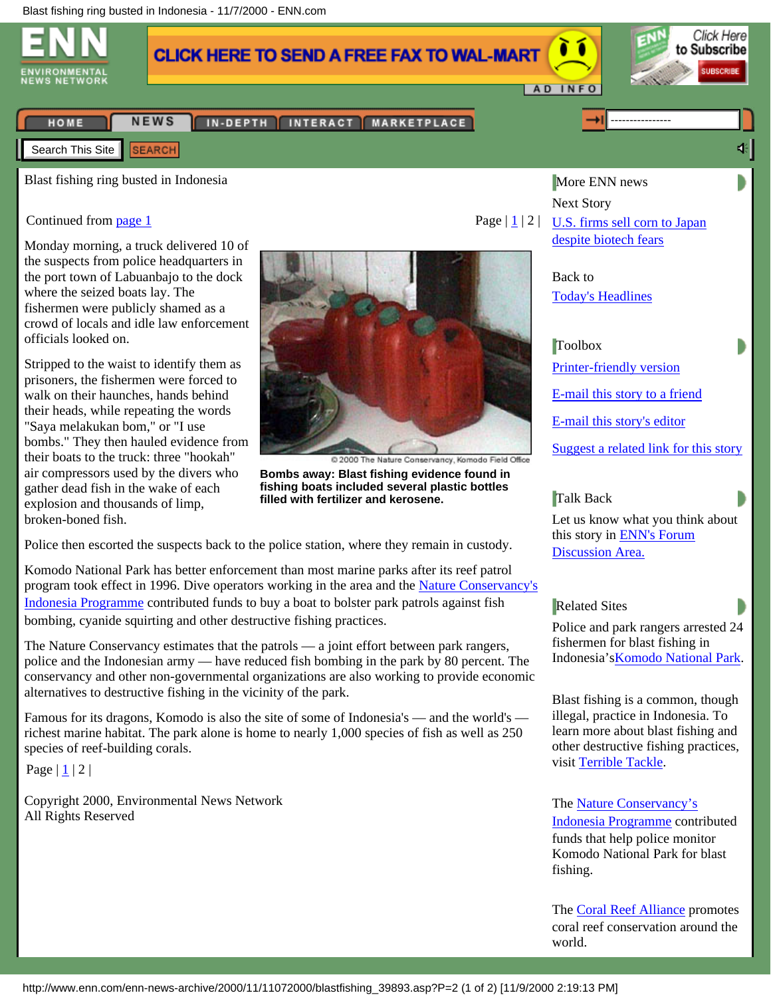<span id="page-6-0"></span>

Monday morning, a truck delivered 10 of the suspects from police headquarters in the port town of Labuanbajo to the dock where the seized boats lay. The fishermen were publicly shamed as a crowd of locals and idle law enforcement officials looked on.

Stripped to the waist to identify them as prisoners, the fishermen were forced to walk on their haunches, hands behind their heads, while repeating the words "Saya melakukan bom," or "I use bombs." They then hauled evidence from their boats to the truck: three "hookah" air compressors used by the divers who gather dead fish in the wake of each explosion and thousands of limp, broken-boned fish.



**Bombs away: Blast fishing evidence found in fishing boats included several plastic bottles filled with fertilizer and kerosene.**

Police then escorted the suspects back to the police station, where they remain in custody.

Komodo National Park has better enforcement than most marine parks after its reef patrol program took effect in 1996. Dive operators working in the area and the [Nature Conservancy's](http://www.tnc.org/infield/intprograms/asiapacific/indonesia.html) [Indonesia Programme](http://www.tnc.org/infield/intprograms/asiapacific/indonesia.html) contributed funds to buy a boat to bolster park patrols against fish bombing, cyanide squirting and other destructive fishing practices.

The Nature Conservancy estimates that the patrols — a joint effort between park rangers, police and the Indonesian army — have reduced fish bombing in the park by 80 percent. The conservancy and other non-governmental organizations are also working to provide economic alternatives to destructive fishing in the vicinity of the park.

Famous for its dragons, Komodo is also the site of some of Indonesia's — and the world's richest marine habitat. The park alone is home to nearly 1,000 species of fish as well as 250 species of reef-building corals.

Page | [1](#page-4-0) | 2 |

Copyright 2000, Environmental News Network All Rights Reserved

Page  $|\mathbf{1}|2$  [U.S. firms sell corn to Japan](http://www.enn.com/news/wire-stories/2000/11/11072000/reu_biocorn_39946.asp) [despite biotech fears](http://www.enn.com/news/wire-stories/2000/11/11072000/reu_biocorn_39946.asp)

> Back to [Today's Headlines](http://www.enn.com/news/index.asp)

Toolbox

[Printer-friendly version](javascript:popup2() [E-mail this story to a friend](javascript:popup2()

[E-mail this story's editor](javascript:popup2()

[Suggest a related link for this story](javascript:popup2()

## Talk Back

Let us know what you think about this story in [ENN's Forum](http://www.enn.com/community/forum/post-message.asp?F=1&S=Blast%20fishing%20ring%20busted%20in%20Indonesia) [Discussion Area.](http://www.enn.com/community/forum/post-message.asp?F=1&S=Blast%20fishing%20ring%20busted%20in%20Indonesia)

## Related Sites

Police and park rangers arrested 24 fishermen for blast fishing in Indonesia'[sKomodo National Park](http://www.komodo-national-park.com/index.html).

Blast fishing is a common, though illegal, practice in Indonesia. To learn more about blast fishing and other destructive fishing practices, visit [Terrible Tackle.](http://seawifs.gsfc.nasa.gov/OCEAN_PLANET/HTML/peril_bombs.html)

The [Nature Conservancy's](http://www.tnc.org/infield/intprograms/asiapacific/indonesia.html) [Indonesia Programme](http://www.tnc.org/infield/intprograms/asiapacific/indonesia.html) contributed funds that help police monitor Komodo National Park for blast fishing.

The [Coral Reef Alliance](http://www.coral.org/) promotes coral reef conservation around the world.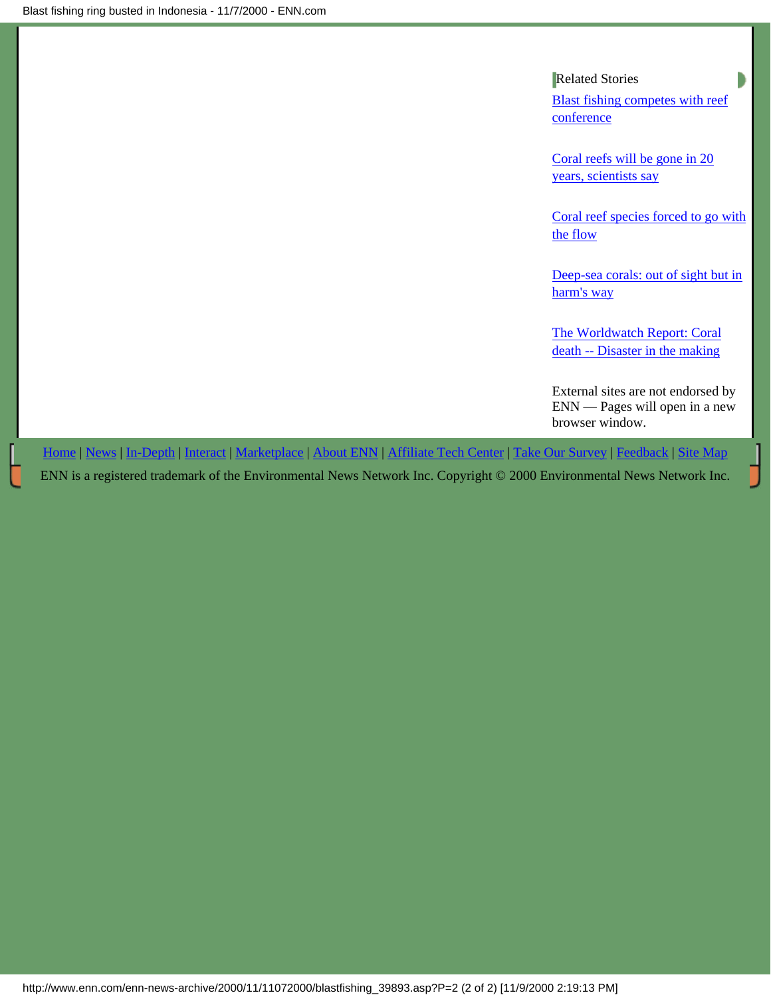# Related Stories

[Blast fishing competes with reef](#page-2-0) [conference](#page-2-0)

[Coral reefs will be gone in 20](http://www.enn.com/enn-subsciber-news-archive/2000/10/10232000/ap_coral_39494.asp) [years, scientists say](http://www.enn.com/enn-subsciber-news-archive/2000/10/10232000/ap_coral_39494.asp)

[Coral reef species forced to go with](http://www.enn.com/enn-news-archive/2000/08/08182000/coralarva_30599.asp) [the flow](http://www.enn.com/enn-news-archive/2000/08/08182000/coralarva_30599.asp)

[Deep-sea corals: out of sight but in](http://www.enn.com/enn-news-archive/2000/08/08102000/s_30378.asp) [harm's way](http://www.enn.com/enn-news-archive/2000/08/08102000/s_30378.asp)

[The Worldwatch Report: Coral](http://www.enn.com/enn-features-archive/1999/04/042699/reefs_2845.asp) [death -- Disaster in the making](http://www.enn.com/enn-features-archive/1999/04/042699/reefs_2845.asp)

External sites are not endorsed by ENN — Pages will open in a new browser window.

[Home](http://www.enn.com/index.asp) | [News](http://www.enn.com/news/index.asp) | [In-Depth](http://www.enn.com/indepth/index.asp) | [Interact](http://www.enn.com/interact/index.asp) | [Marketplace](http://www.enn.com/marketplace/index.asp) | [About ENN](http://www.enn.com/aboutenn/) | [Affiliate Tech Center](http://www.enn.com/aboutenn/products.asp) | [Take Our Survey](http://www.enn.com/aboutenn/survey.asp) | [Feedback](http://www.enn.com/aboutenn/feedback.asp) | [Site Map](http://www.enn.com/aboutenn/sitemap.asp)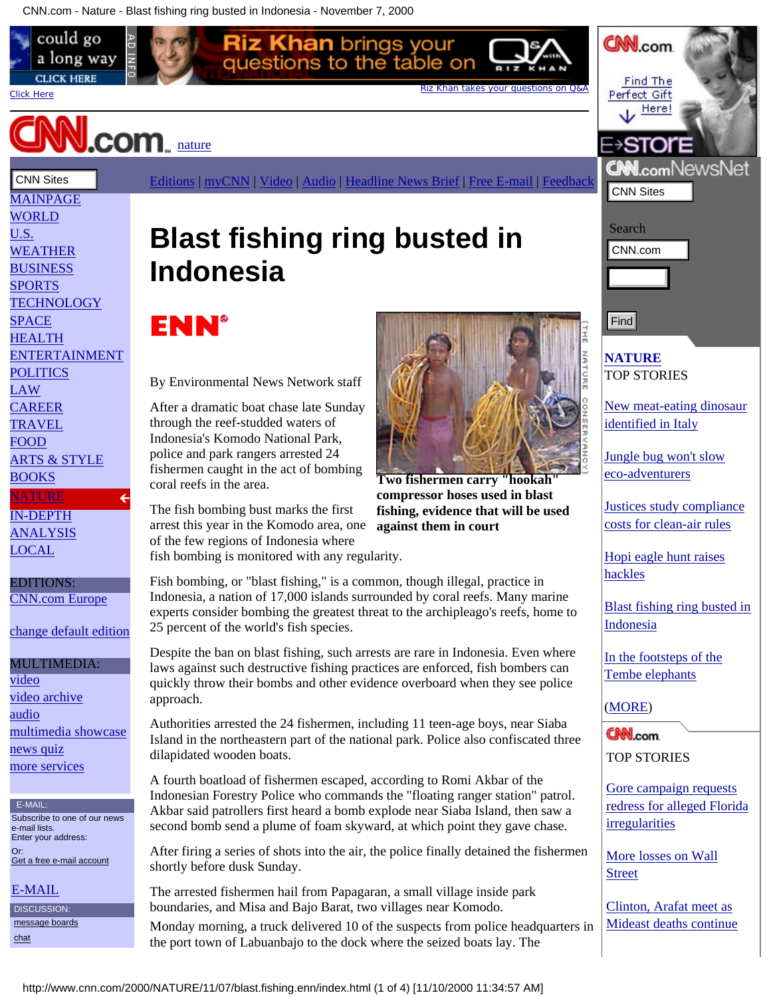<span id="page-8-1"></span><span id="page-8-0"></span>

**Two fishermen carry "hookah" compressor hoses used in blast fishing, evidence that will be used against them in court**

[Hopi eagle hunt raises](http://www.cnn.com/2000/NATURE/11/07/eagle.hunt.enn/index.html) [hackles](http://www.cnn.com/2000/NATURE/11/07/eagle.hunt.enn/index.html)

[Blast fishing ring busted in](#page-8-0) [Indonesia](#page-8-0)

[New meat-eating dinosaur](http://www.cnn.com/2000/NATURE/11/09/italy.dinosaur.ap/index.html)

[identified in Italy](http://www.cnn.com/2000/NATURE/11/09/italy.dinosaur.ap/index.html)

[Jungle bug won't slow](http://www.cnn.com/2000/NATURE/11/08/jungle.bug.enn/index.html) [eco-adventurers](http://www.cnn.com/2000/NATURE/11/08/jungle.bug.enn/index.html)

[Justices study compliance](http://www.cnn.com/2000/LAW/11/07/scotus.cleanair.01.ap/index.html) [costs for clean-air rules](http://www.cnn.com/2000/LAW/11/07/scotus.cleanair.01.ap/index.html)

[In the footsteps of the](http://www.cnn.com/2000/NATURE/11/07/safrica.elephants.reut/index.html) [Tembe elephants](http://www.cnn.com/2000/NATURE/11/07/safrica.elephants.reut/index.html)

([MORE\)](http://www.cnn.com/NATURE/index.html)

TOP STORIES

[Gore campaign requests](http://www.cnn.com/2000/ALLPOLITICS/stories/11/09/election.president/index.html) [redress for alleged Florida](http://www.cnn.com/2000/ALLPOLITICS/stories/11/09/election.president/index.html) [irregularities](http://www.cnn.com/2000/ALLPOLITICS/stories/11/09/election.president/index.html)

[More losses on Wall](http://www.cnn.com/cnnfn/2000/11/09/markets/markets_newyork/) [Street](http://www.cnn.com/cnnfn/2000/11/09/markets/markets_newyork/)

[Clinton, Arafat meet as](http://www.cnn.com/2000/WORLD/meast/11/09/mideast.04/index.html) [Mideast deaths continue](http://www.cnn.com/2000/WORLD/meast/11/09/mideast.04/index.html)

[CAREER](http://www.cnn.com/CAREER/) [TRAVEL](http://www.cnn.com/TRAVEL/) [FOOD](http://www.cnn.com/FOOD/)

[BOOKS](http://www.cnn.com/books/) **[NATURE](http://www.cnn.com/NATURE/)** [IN-DEPTH](http://www.cnn.com/SPECIALS/) **[ANALYSIS](http://www.cnn.com/SPECIALS/views/)** [LOCAL](http://www.cnn.com/LOCAL/)

EDITIONS: [CNN.com Europe](http://www.cnn.com/selectedition/europe/)

[change default edition](javascript:launchEditionPopup())

[multimedia showcase](http://www.cnn.com/interactive/)

Subscribe to one of our news

[Get a free e-mail account](http://email.cnn.com/member/login.page)

MULTIMEDIA:

[video archive](http://www.cnn.com/video_vault/)

[video](http://www.cnn.com/videoselect/)

[audio](http://www.cnn.com/audioselect/)

[news quiz](http://www.cnn.com/SEARCH/quiz/quiz.html) [more services](http://www.cnn.com/INDEX/services.html)

E-MAIL:

e-mail lists. Enter your address:

[E-MAIL](http://www.cnn.com/EMAIL/) DISCUSSION:  [message boards](http://community.cnn.com/)

Or:

 [chat](http://www.cnn.com/chat/)

[ARTS & STYLE](http://www.cnn.com/STYLE/)

After a dramatic boat chase late Sunday

The fish bombing bust marks the first arrest this year in the Komodo area, one of the few regions of Indonesia where

Indonesia, a nation of 17,000 islands surrounded by coral reefs. Many marine experts consider bombing the greatest threat to the archipleago's reefs, home to 25 percent of the world's fish species.

laws against such destructive fishing practices are enforced, fish bombers can quickly throw their bombs and other evidence overboard when they see police approach.

A fourth boatload of fishermen escaped, according to Romi Akbar of the Indonesian Forestry Police who commands the "floating ranger station" patrol. Akbar said patrollers first heard a bomb explode near Siaba Island, then saw a second bomb send a plume of foam skyward, at which point they gave chase.

After firing a series of shots into the air, the police finally detained the fishermen shortly before dusk Sunday.

The arrested fishermen hail from Papagaran, a small village inside park boundaries, and Misa and Bajo Barat, two villages near Komodo. Monday morning, a truck delivered 10 of the suspects from police headquarters in

the port town of Labuanbajo to the dock where the seized boats lay. The



through the reef-studded waters of Indonesia's Komodo National Park, police and park rangers arrested 24 fishermen caught in the act of bombing coral reefs in the area.

fish bombing is monitored with any regularity.

Fish bombing, or "blast fishing," is a common, though illegal, practice in

Despite the ban on blast fishing, such arrests are rare in Indonesia. Even where

Authorities arrested the 24 fishermen, including 11 teen-age boys, near Siaba Island in the northeastern part of the national park. Police also confiscated three dilapidated wooden boats.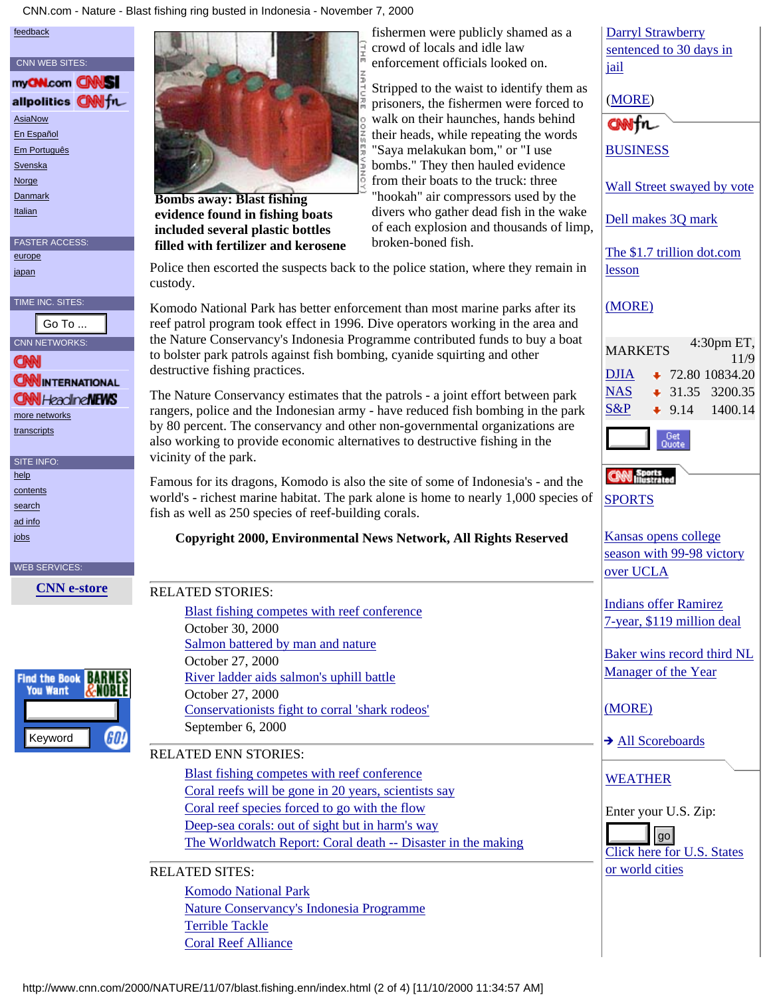CNN.com - Nature - Blast fishing ring busted in Indonesia - November 7, 2000

#### [feedback](http://www.cnn.com/feedback/)



# [more networks](http://www.cnn.com/CNN/)

 [transcripts](http://www.cnn.com/TRANSCRIPTS/)

SITE INFO:

 [help](http://www.cnn.com/feedback/help/)

 [contents](http://www.cnn.com/INDEX/)

 [search](http://www.cnn.com/SEARCH/)

 [ad info](http://www.cnn.com/ads/e.market/)

iobs

#### WEB SERVICES:





**evidence found in fishing boats included several plastic bottles filled with fertilizer and kerosene**

fishermen were publicly shamed as a crowd of locals and idle law enforcement officials looked on.

Stripped to the waist to identify them as prisoners, the fishermen were forced to walk on their haunches, hands behind their heads, while repeating the words "Saya melakukan bom," or "I use bombs." They then hauled evidence from their boats to the truck: three "hookah" air compressors used by the divers who gather dead fish in the wake of each explosion and thousands of limp, broken-boned fish.

Police then escorted the suspects back to the police station, where they remain in custody.

Komodo National Park has better enforcement than most marine parks after its reef patrol program took effect in 1996. Dive operators working in the area and the Nature Conservancy's Indonesia Programme contributed funds to buy a boat to bolster park patrols against fish bombing, cyanide squirting and other destructive fishing practices.

# **Copyright 2000, Environmental News Network, All Rights Reserved**

|                          | Go To                           | reef patrol program took effect in 1996. Dive operators working in the area and                             |                                   |
|--------------------------|---------------------------------|-------------------------------------------------------------------------------------------------------------|-----------------------------------|
|                          | <b>VN NETWORKS:</b>             | the Nature Conservancy's Indonesia Programme contributed funds to buy a boat                                | <b>MARKETS</b>                    |
|                          |                                 | to bolster park patrols against fish bombing, cyanide squirting and other<br>destructive fishing practices. |                                   |
|                          | <b>NNINTERNATIONAL</b>          |                                                                                                             | <b>DJIA</b>                       |
|                          | <b>N</b> I Heacline <b>NEWS</b> | The Nature Conservancy estimates that the patrols - a joint effort between park                             | <b>NAS</b>                        |
|                          | ore networks                    | rangers, police and the Indonesian army - have reduced fish bombing in the park                             | S&P                               |
|                          | <b>inscripts</b>                | by 80 percent. The conservancy and other non-governmental organizations are                                 |                                   |
|                          |                                 | also working to provide economic alternatives to destructive fishing in the                                 | ပ္ပါ                              |
|                          | TE INFO:                        | vicinity of the park.                                                                                       |                                   |
| <u>lp</u>                |                                 | Famous for its dragons, Komodo is also the site of some of Indonesia's - and the                            |                                   |
| ntents<br><u>arch</u>    |                                 | world's - richest marine habitat. The park alone is home to nearly 1,000 species of                         | <b>SPORTS</b>                     |
| l info                   |                                 | fish as well as 250 species of reef-building corals.                                                        |                                   |
| $\overline{\mathbf{25}}$ |                                 | Copyright 2000, Environmental News Network, All Rights Reserved                                             | <b>Kansas</b> oper                |
|                          |                                 |                                                                                                             | season with                       |
|                          | <b>EB SERVICES:</b>             |                                                                                                             | over UCLA                         |
|                          | <b>CNN</b> e-store              | <b>RELATED STORIES:</b>                                                                                     |                                   |
|                          |                                 | Blast fishing competes with reef conference                                                                 | Indians offe                      |
|                          |                                 | October 30, 2000                                                                                            | 7-year, \$119                     |
|                          |                                 | Salmon battered by man and nature                                                                           |                                   |
|                          |                                 | October 27, 2000                                                                                            | <b>Baker</b> wins                 |
|                          | d the Book                      | River ladder aids salmon's uphill battle                                                                    | Manager of                        |
|                          | You Want<br>&NOBLE              | October 27, 2000                                                                                            |                                   |
|                          |                                 | Conservationists fight to corral 'shark rodeos'                                                             | (MORE)                            |
|                          |                                 | September 6, 2000                                                                                           |                                   |
|                          | Keyword                         | GO!                                                                                                         | All Scorel                        |
|                          |                                 | <b>RELATED ENN STORIES:</b>                                                                                 |                                   |
|                          |                                 | Blast fishing competes with reef conference                                                                 | <b>WEATHER</b>                    |
|                          |                                 | Coral reefs will be gone in 20 years, scientists say                                                        |                                   |
|                          |                                 | Coral reef species forced to go with the flow                                                               | Enter your I                      |
|                          |                                 | Deep-sea corals: out of sight but in harm's way                                                             | go                                |
|                          |                                 | The Worldwatch Report: Coral death -- Disaster in the making                                                | $\overline{\text{Click}}$ here fo |
|                          |                                 | <b>RELATED SITES:</b>                                                                                       | or world citi                     |
|                          |                                 | <b>Komodo National Park</b>                                                                                 |                                   |
|                          |                                 | <b>Nature Conservancy's Indonesia Programme</b>                                                             |                                   |
|                          |                                 | <b>Terrible Tackle</b>                                                                                      |                                   |
|                          |                                 | <b>Coral Reef Alliance</b>                                                                                  |                                   |
|                          |                                 |                                                                                                             |                                   |
|                          |                                 |                                                                                                             |                                   |
|                          |                                 | http://www.cnn.com/2000/NATURE/11/07/blast.fishing.enn/index.html (2 of 4) [11/10/2000 11:34:57 AM]         |                                   |

## RELATED ENN STORIES:

# RELATED SITES:

[Darryl Strawberry](http://www.cnn.com/cnnsi/baseball/mlb/news/2000/11/09/strawberry_ap/) [sentenced to 30 days in](http://www.cnn.com/cnnsi/baseball/mlb/news/2000/11/09/strawberry_ap/) [jail](http://www.cnn.com/cnnsi/baseball/mlb/news/2000/11/09/strawberry_ap/) [\(MORE](http://www.cnn.com/)) ONNFr [BUSINESS](http://www.cnn.com/cnnfn/) [Wall Street swayed by vote](http://www.cnn.com/cnnfn/2000/11/09/markets/markets_newyork/) [Dell makes 3Q mark](http://www.cnn.com/cnnfn/2000/11/09/technology/earns_dell/) [The \\$1.7 trillion dot.com](http://www.cnn.com/cnnfn/2000/11/09/technology/overview/) [lesson](http://www.cnn.com/cnnfn/2000/11/09/technology/overview/) [\(MORE\)](http://www.cnn.com/cnnfn/) MARKETS 4:30pm ET, 11/9  $DJIA$  + 72.80 10834.20  $NAS$   $\leftrightarrow$  31.35 3200.35  $S\&P$  + 9.14 1400.14 SPORTS [Kansas opens college](http://www.cnn.com/cnnsi/basketball/college/news/2000/11/09/kansas_ucla_ap) [season with 99-98 victory](http://www.cnn.com/cnnsi/basketball/college/news/2000/11/09/kansas_ucla_ap) over UCLA [Indians offer Ramirez](http://www.cnn.com/cnnsi/baseball/mlb/news/2000/11/09/indians_ramirez_ap) [7-year, \\$119 million deal](http://www.cnn.com/cnnsi/baseball/mlb/news/2000/11/09/indians_ramirez_ap) [Baker wins record third NL](http://www.cnn.com/cnnsi/baseball/mlb/news/2000/11/09/nl_manager_ap) [Manager of the Year](http://www.cnn.com/cnnsi/baseball/mlb/news/2000/11/09/nl_manager_ap) (MORE) [All Scoreboards](http://www.cnn.com/cnnsi/scoreboards/)

WEATHER

Enter your U.S. Zip:

[Click here for U.S. States](http://www.cnn.com/WEATHER/browse.html) [or world cities](http://www.cnn.com/WEATHER/browse.html)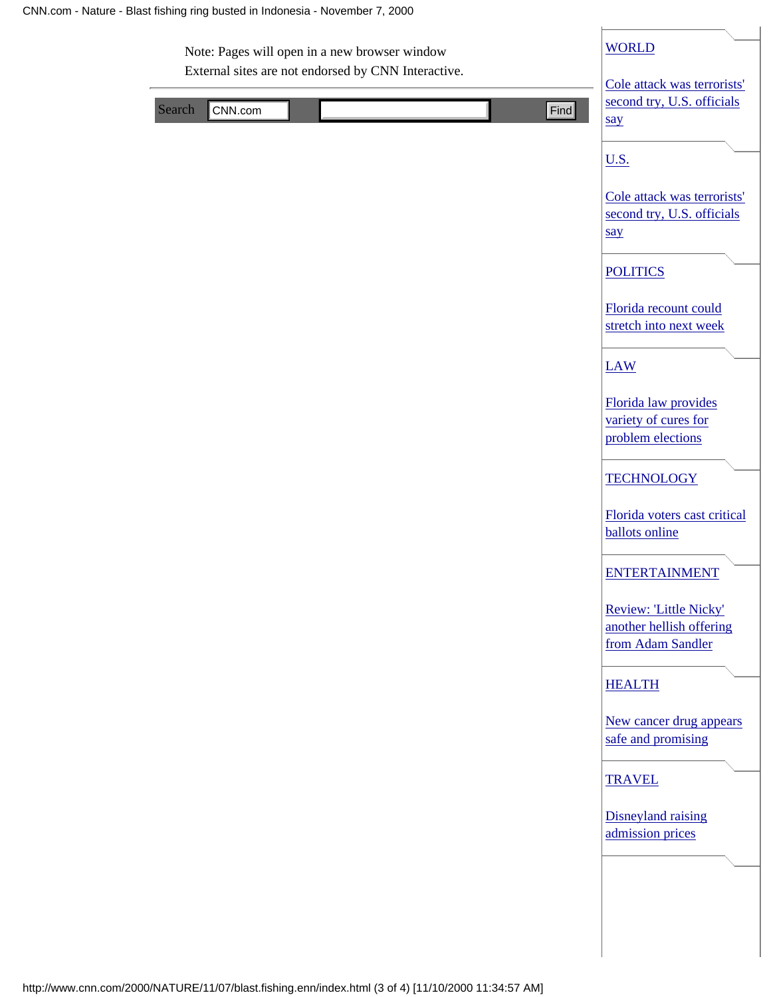| External sites are not endorsed by CNN Interactive. | Cole attack was terrorists'                                             |
|-----------------------------------------------------|-------------------------------------------------------------------------|
| Search<br>CNN.com                                   | second try, U.S. officials<br>Find<br>say                               |
|                                                     | <u>U.S.</u>                                                             |
|                                                     | Cole attack was terrorists'<br>second try, U.S. officials<br>say        |
|                                                     | <b>POLITICS</b>                                                         |
|                                                     | Florida recount could<br>stretch into next week                         |
|                                                     | <b>LAW</b>                                                              |
|                                                     | Florida law provides<br>variety of cures for<br>problem elections       |
|                                                     | <b>TECHNOLOGY</b>                                                       |
|                                                     | Florida voters cast critical<br><b>ballots</b> online                   |
|                                                     | <b>ENTERTAINMENT</b>                                                    |
|                                                     | Review: 'Little Nicky'<br>another hellish offering<br>from Adam Sandler |
|                                                     | <b>HEALTH</b>                                                           |
|                                                     | New cancer drug appears<br>safe and promising                           |
|                                                     | <b>TRAVEL</b>                                                           |
|                                                     | Disneyland raising<br>admission prices                                  |
|                                                     |                                                                         |
|                                                     |                                                                         |
|                                                     |                                                                         |